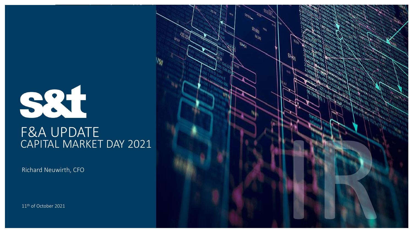

# F&A UPDATE CAPITAL MARKET DAY 2021

Richard Neuwirth, CFO

11<sup>th</sup> of October 2021

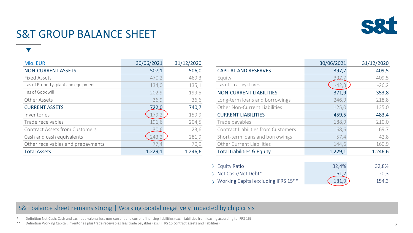

# S&T GROUP BALANCE SHEET

| Mio. EUR                              | 30/06/2021 | 31/12/2020 |                                            | 30/06/2021 | 31/12/2020 |
|---------------------------------------|------------|------------|--------------------------------------------|------------|------------|
| <b>NON-CURRENT ASSETS</b>             | 507,1      | 506,0      | <b>CAPITAL AND RESERVES</b>                | 397,7      | 409,5      |
| <b>Fixed Assets</b>                   | 470,2      | 469,3      | Equity                                     | 397.7      | 409,5      |
| as of Property, plant and equipment   | 134,0      | 135,1      | as of Treasury shares                      | $-42,3$    | $-26,2$    |
| as of Goodwill                        | 202,9      | 199,5      | <b>NON-CURRENT LIABILITIES</b>             | 371,9      | 353,8      |
| Other Assets                          | 36,9       | 36,6       | Long-term loans and borrowings             | 246,9      | 218,8      |
| <b>CURRENT ASSETS</b>                 | 722.0      | 740,7      | Other Non-Current Liabilities              | 125,0      | 135,0      |
| Inventories                           | 179,2      | 159,9      | <b>CURRENT LIABILITIES</b>                 | 459,5      | 483,4      |
| Trade receivables                     | 191,6      | 204,5      | Trade payables                             | 188,9      | 210,0      |
| <b>Contract Assets from Customers</b> | 30.6       | 23,6       | <b>Contract Liabilities from Customers</b> | 68,6       | 69,7       |
| Cash and cash equivalents             | 243,2      | 281,9      | Short-term loans and borrowings            | 57,4       | 42,8       |
| Other receivables and prepayments     | 1/7,4      | 70,9       | Other Current Liabilities                  | 144,6      | 160,9      |
| <b>Total Assets</b>                   | 1.229,1    | 1.246,6    | <b>Total Liabilities &amp; Equity</b>      | 1.229,1    | 1.246,6    |

|                                            | 30/06/2021 | 31/12/2020 |
|--------------------------------------------|------------|------------|
| <b>CAPITAL AND RESERVES</b>                | 397,7      | 409,5      |
| Equity                                     | 397.       | 409,5      |
| as of Treasury shares                      | $-42,3$    | $-26,2$    |
| <b>NON-CURRENT LIABILITIES</b>             | 371,9      | 353,8      |
| Long-term loans and borrowings             | 246,9      | 218,8      |
| Other Non-Current Liabilities              | 125,0      | 135,0      |
| <b>CURRENT LIABILITIES</b>                 | 459,5      | 483,4      |
| Trade payables                             | 188,9      | 210,0      |
| <b>Contract Liabilities from Customers</b> | 68,6       | 69,7       |
| Short-term loans and borrowings            | 57,4       | 42,8       |
| <b>Other Current Liabilities</b>           | 144,6      | 160,9      |
| <b>Total Liabilities &amp; Equity</b>      | 1.229,1    | 1.246,6    |
|                                            |            |            |
| <b>Equity Ratio</b>                        | 32,4%      | 32,8%      |
| Net Cash/Net Debt*<br>≻                    | -61,2      | 20,3       |
| > Working Capital excluding IFRS 15**      | 181,9      | 154,3      |

#### S&T balance sheet remains strong | Working capital negatively impacted by chip crisis

Definition Net Cash: Cash and cash equivalents less non-current and current financing liabilities (excl. liabilities from leasing according to IFRS 16)

\*\* Definition Working Capital: Inventories plus trade receivables less trade payables (excl. IFRS 15 contract assets and liabilities)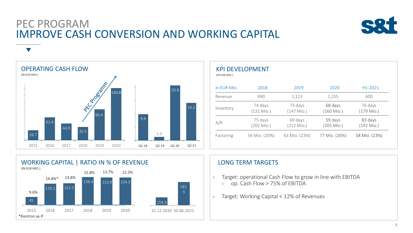## PEC PROGRAM IMPROVE CASH CONVERSION AND WORKING CAPITAL



OPERATING CASH FLOW (IN EUR MIO.) 26.7 61.4 44.9 35.5 **RICORDINATION** 140.8 100 120 140 2015 2016 2017 2018 2019 2020 9.9 1.3 20.8 14.2 Q2-18 Q2-19 Q2-20 Q2-21

| in EUR Mio. | 2018                  | 2019                    | 2020                  | H <sub>1</sub> -2021    |
|-------------|-----------------------|-------------------------|-----------------------|-------------------------|
| Revenue     | 990                   | 1,123                   | 1,255                 | 600                     |
| Inventory   | 74 days<br>(131 Mio.) | 73 days<br>$(147$ Mio.) | 68 days<br>(160 Mio.) | 76 days<br>$(179$ Mio.) |
| A/R         | 75 days<br>(202 Mio.) | 69 days<br>$(212$ Mio.) | 59 days<br>(205 Mio.) | 83 days<br>$(192$ Mio.) |
| Factoring   | 56 Mio. (20%)         | 63 Mio. (23%)           | 77 Mio. (26%)         | 58 Mio. (23%)           |



#### LONG TERM TARGETS

- › Target: operational Cash Flow to grow in line with EBITDA › op. Cash Flow > 75% of EBITDA
- › Target: Working Capital < 12% of Revenues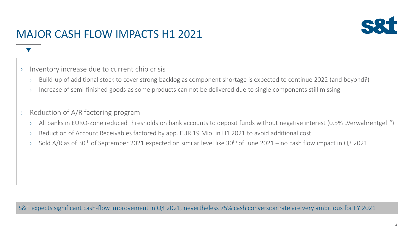

# MAJOR CASH FLOW IMPACTS H1 2021

#### › Inventory increase due to current chip crisis

- › Build-up of additional stock to cover strong backlog as component shortage is expected to continue 2022 (and beyond?)
- › Increase of semi-finished goods as some products can not be delivered due to single components still missing

#### › Reduction of A/R factoring program

- <sup>></sup> All banks in EURO-Zone reduced thresholds on bank accounts to deposit funds without negative interest (0.5%, Verwahrentgelt")
- › Reduction of Account Receivables factored by app. EUR 19 Mio. in H1 2021 to avoid additional cost
- $\rightarrow$  Sold A/R as of 30<sup>th</sup> of September 2021 expected on similar level like 30<sup>th</sup> of June 2021 no cash flow impact in Q3 2021

S&T expects significant cash-flow improvement in Q4 2021, nevertheless 75% cash conversion rate are very ambitious for FY 2021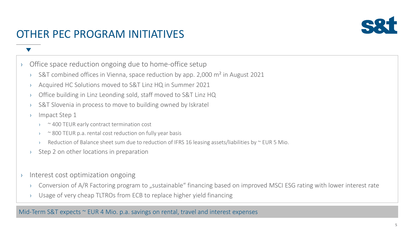

# OTHER PEC PROGRAM INITIATIVES

- › Office space reduction ongoing due to home-office setup
	- $\rightarrow$  S&T combined offices in Vienna, space reduction by app. 2,000 m<sup>2</sup> in August 2021
	- › Acquired HC Solutions moved to S&T Linz HQ in Summer 2021
	- › Office building in Linz Leonding sold, staff moved to S&T Linz HQ
	- › S&T Slovenia in process to move to building owned by Iskratel
	- › Impact Step 1
		- › ~ 400 TEUR early contract termination cost
		- $\sim$  800 TEUR p.a. rental cost reduction on fully year basis
		- Reduction of Balance sheet sum due to reduction of IFRS 16 leasing assets/liabilities by  $\sim$  EUR 5 Mio.
	- › Step 2 on other locations in preparation
- › Interest cost optimization ongoing
	- $\rightarrow$  Conversion of A/R Factoring program to "sustainable" financing based on improved MSCI ESG rating with lower interest rate
	- Usage of very cheap TLTROs from ECB to replace higher yield financing

Mid-Term S&T expects  $\sim$  EUR 4 Mio. p.a. savings on rental, travel and interest expenses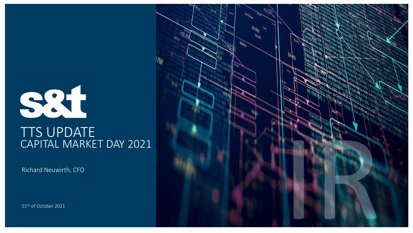

# TTS UPDATE CAPITAL MARKET DAY 2021

Richard Neuwirth, CFO

11th of October 2021

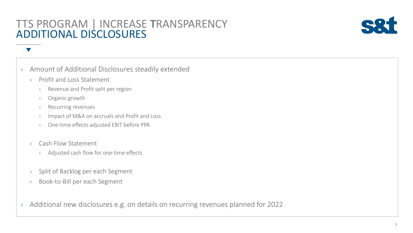## TTS PROGRAM | INCREASE **T**RANSPARENCY ADDITIONAL DISCLOSURES



### › Amount of Additional Disclosures steadily extended

- › Profit and Loss Statement
	- › Revenue and Profit split per region
	- › Organic growth
	- › Recurring revenues
	- › Impact of M&A on accruals and Profit and Loss
	- One-time effects adjusted EBIT before PPA
- › Cash Flow Statement
	- › Adjusted cash flow for one-time effects
- › Split of Backlog per each Segment
- › Book-to-Bill per each Segment
- › Additional new disclosures e.g. on details on recurring revenues planned for 2022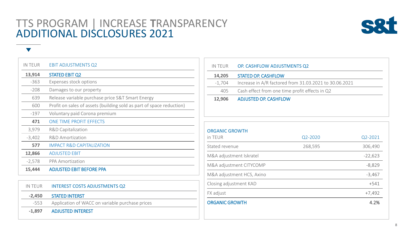## TTS PROGRAM | INCREASE **T**RANSPARENCY ADDITIONAL DISCLOSURES 2021



| IN TEUR  | <b>EBIT ADJUSTMENTS Q2</b>                                           |
|----------|----------------------------------------------------------------------|
| 13,914   | <b>STATED EBIT Q2</b>                                                |
| $-363$   | Expenses stock options                                               |
| $-208$   | Damages to our property                                              |
| 639      | Release variable purchase price S&T Smart Energy                     |
| 600      | Profit on sales of assets (building sold as part of space reduction) |
| $-197$   | Voluntary paid Corona premium                                        |
| 471      | ONE TIME PROFIT EFFECTS                                              |
| 3,979    | R&D Capitalization                                                   |
| $-3,402$ | R&D Amortization                                                     |
| 577      | IMPACT R&D CAPITALIZATION                                            |
| 12,866   | <b>ADJUSTED EBIT</b>                                                 |
| $-2,578$ | <b>PPA Amortization</b>                                              |
| 15,444   | <b>ADJUSTED EBIT BEFORE PPA</b>                                      |

|        | IN TEUR INTEREST COSTS ADJUSTMENTS Q2                |
|--------|------------------------------------------------------|
| -2.450 | STATED INTERST                                       |
|        | -553 Application of WACC on variable purchase prices |
|        | -1,897 ADJUSTED INTEREST                             |

| IN TEUR | OP. CASHFLOW ADJUSTMENTS Q2                            |
|---------|--------------------------------------------------------|
| 14,205  | <b>STATED OP. CASHFLOW</b>                             |
| -1.704  | Increase in A/R factored from 31.03.2021 to 30.06.2021 |
| 405     | Cash effect from one time profit effects in Q2         |
| 12,906  | <b>ADJUSTED OP. CASHFLOW</b>                           |

| <b>ORGANIC GROWTH</b>     |         |           |
|---------------------------|---------|-----------|
| in TEUR                   | Q2-2020 | Q2-2021   |
| Stated revenue            | 268,595 | 306,490   |
| M&A adjustment Iskratel   |         | $-22,623$ |
| M&A adjustment CITYCOMP   |         | $-8,829$  |
| M&A adjustment HCS, Axino |         | $-3,467$  |
| Closing adjustment KAD    |         | $+541$    |
| FX adjust                 |         | $+7,492$  |
| <b>ORGANIC GROWTH</b>     |         | 4.2%      |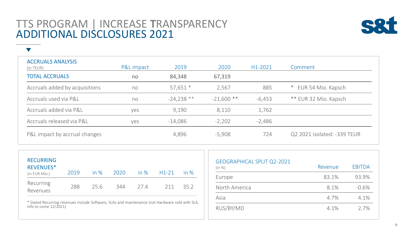## TTS PROGRAM | INCREASE **T**RANSPARENCY ADDITIONAL DISCLOSURES 2021

 $\blacktriangledown$ 



ACCRUALS ANALYSIS (in TEUR) P&L impact 2019 2020 H1-2021 Comment TOTAL ACCRUALS no 84,348 67,319 Accruals added by acquisitions ho b  $57,651$  \* 2,567 885 \* EUR 54 Mio. Kapsch Accruals used via P&L no -24,238 \*\* -21,600 \*\* -6,453 \*\* EUR 32 Mio. Kapsch Accruals added via P&L yes 9,190 8,110 1,762 Accruals released via P&L yes -14,086 -2,202 -2,486 P&L impact by accrual changes  $4,896$   $-5,908$   $-724$  Q2 2021 isolated: -339 TEUR

| <b>RECURRING</b><br><b>REVENUES*</b><br>(in EUR Mio.) | 2019 |     | in % 2020 |     | in % H1-21 | in $\%$ |
|-------------------------------------------------------|------|-----|-----------|-----|------------|---------|
| Recurring<br>Revenues                                 | 288  | 256 | 344       | 274 | 211        | 352     |

\* Stated Recurring revenues include Software, SLAs and maintenance (not Hardware sold with SLA, info to come 12/2021)

| <b>GEOGRAPHICAL SPLIT Q2-2021</b><br>(in %) | Revenue | <b>EBITDA</b> |
|---------------------------------------------|---------|---------------|
| Europe                                      | 83.1%   | 93.9%         |
| North America                               | 8.1%    | $-0.6%$       |
| Asia                                        | 4.7%    | 4.1%          |
| RUS/BY/MD                                   | 4.1%    | 2.7%          |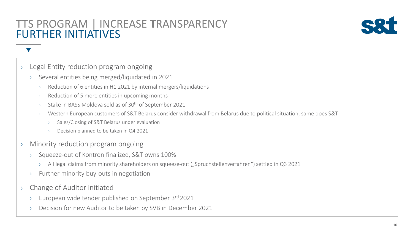## TTS PROGRAM | INCREASE **T**RANSPARENCY FURTHER INITIATIVES



### › Legal Entity reduction program ongoing

- › Several entities being merged/liquidated in 2021
	- Reduction of 6 entities in H1 2021 by internal mergers/liquidations
	- Reduction of 5 more entities in upcoming months
	- Stake in BASS Moldova sold as of 30<sup>th</sup> of September 2021
	- Western European customers of S&T Belarus consider withdrawal from Belarus due to political situation, same does S&T
		- Sales/Closing of S&T Belarus under evaluation
		- Decision planned to be taken in Q4 2021
- › Minority reduction program ongoing
	- › Squeeze-out of Kontron finalized, S&T owns 100%
		- All legal claims from minority shareholders on squeeze-out ("Spruchstellenverfahren") settled in Q3 2021
	- › Further minority buy-outs in negotiation
- › Change of Auditor initiated
	- European wide tender published on September 3rd 2021
	- › Decision for new Auditor to be taken by SVB in December 2021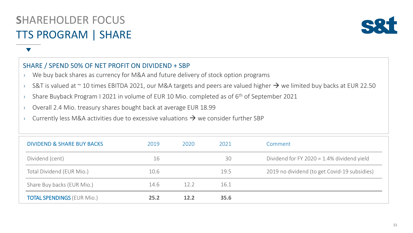

#### SHARE / SPEND 50% OF NET PROFIT ON DIVIDEND + SBP

- › We buy back shares as currency for M&A and future delivery of stock option programs
- > S&T is valued at  $\sim$  10 times EBITDA 2021, our M&A targets and peers are valued higher  $\rightarrow$  we limited buy backs at EUR 22.50
- $\rightarrow$  Share Buyback Program I 2021 in volume of EUR 10 Mio. completed as of 6<sup>th</sup> of September 2021
- › Overall 2.4 Mio. treasury shares bought back at average EUR 18.99
- $\rightarrow$  Currently less M&A activities due to excessive valuations  $\rightarrow$  we consider further SBP

| <b>DIVIDEND &amp; SHARE BUY BACKS</b> | 2019 | 2020 | 2021 | Comment                                       |
|---------------------------------------|------|------|------|-----------------------------------------------|
| Dividend (cent)                       | 16   |      | 30   | Dividend for FY 2020 = $1.4\%$ dividend yield |
| Total Dividend (EUR Mio.)             | 10.6 |      | 19.5 | 2019 no dividend (to get Covid-19 subsidies)  |
| Share Buy backs (EUR Mio.)            | 14.6 | 12.2 | 16.1 |                                               |
| <b>TOTAL SPENDINGS (EUR Mio.)</b>     | 25.2 | 12.2 | 35.6 |                                               |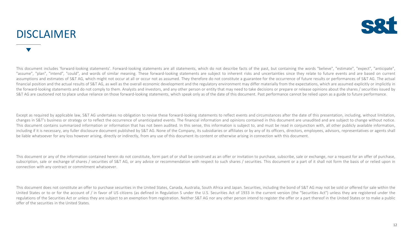## DISCLAIMER



This document includes 'forward-looking statements'. Forward-looking statements are all statements, which do not describe facts of the past, but containing the words "believe", "estimate", "expect", "anticipate", "assume", "plan", "intend", "could", and words of similar meaning. These forward-looking statements are subject to inherent risks and uncertainties since they relate to future events and are based on current assumptions and estimates of S&T AG, which might not occur at all or occur not as assumed. They therefore do not constitute a guarantee for the occurrence of future results or performances of S&T AG. The actual financial position and the actual results of S&T AG, as well as the overall economic development and the regulatory environment may differ materially from the expectations, which are assumed explicitly or implicitly in the forward-looking statements and do not comply to them. Analysts and investors, and any other person or entity that may need to take decisions or prepare or release opinions about the shares / securities issued by S&T AG are cautioned not to place undue reliance on those forward-looking statements, which speak only as of the date of this document. Past performance cannot be relied upon as a guide to future performance.

Except as required by applicable law, S&T AG undertakes no obligation to revise these forward-looking statements to reflect events and circumstances after the date of this presentation, including, without limitation, changes in S&T's business or strategy or to reflect the occurrence of unanticipated events. The financial information and opinions contained in this document are unaudited and are subject to change without notice. This document contains summarized information or information that has not been audited. In this sense, this information is subject to, and must be read in conjunction with, all other publicly available information, including if it is necessary, any fuller disclosure document published by S&T AG. None of the Company, its subsidiaries or affiliates or by any of its officers, directors, employees, advisors, representatives or agents sha be liable whatsoever for any loss however arising, directly or indirectly, from any use of this document its content or otherwise arising in connection with this document.

This document or any of the information contained herein do not constitute, form part of or shall be construed as an offer or invitation to purchase, subscribe, sale or exchange, nor a request for an offer of purchase, subscription, sale or exchange of shares / securities of S&T AG, or any advice or recommendation with respect to such shares / securities. This document or a part of it shall not form the basis of or relied upon in connection with any contract or commitment whatsoever.

This document does not constitute an offer to purchase securities in the United States, Canada, Australia, South Africa and Japan. Securities, including the bond of S&T AG may not be sold or offered for sale within the United States or to or for the account of / in favor of US citizens (as defined in Regulation S under the U.S. Securities Act of 1933 in the current version (the "Securities Act") unless they are registered under the regulations of the Securities Act or unless they are subject to an exemption from registration. Neither S&T AG nor any other person intend to register the offer or a part thereof in the United States or to make a public offer of the securities in the United States.